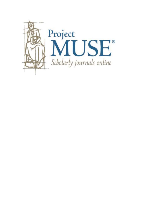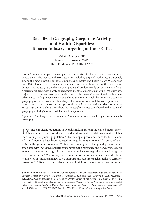# **Racialized Geography, Corporate Activity, and Health Disparities: Tobacco Industry Targeting of Inner Cities**

Valerie B. Yerger, ND Jennifer Przewoznik, MSW Ruth E. Malone, PhD, RN, FAAN

*Abstract:* Industry has played a complex role in the rise of tobacco-related diseases in the United States. The tobacco industry's activities, including targeted marketing, are arguably among the most powerful corporate influences on health and health policy. We analyzed over 400 internal tobacco industry documents to explore how, during the past several decades, the industry targeted inner cities populated predominantly by low-income African American residents with highly concentrated menthol cigarette marketing. We study how major tobacco companies competed against one another in *menthol wars* fought within these urban cores. Little previous work has analyzed the way in which the inner city's complex geography of race, class, and place shaped the avenues used by tobacco corporations to increase tobacco use in low-income, predominantly African American urban cores in the 1970s–1990s. Our analysis shows how the industry's activities contributed to the racialized geography of today's tobacco-related health disparities.

*Key words:* Smoking, tobacco industry, African Americans, racial disparities, inner city geography.

**Despite significant reductions in overall smoking rates in the United States, smoking among poor, less educated, and underserved populations remains higher** than among the general population.<sup>1-5</sup> For example, prevalence rates for low-income African Americans have been reported to range from 33% to 59%,<sup>6-11</sup> compared with  $21\%$  for the general population.<sup>12</sup> Tobacco company advertising and promotion are associated with increased cigarette consumption; their presence and pervasiveness serve as external cues to smoking.<sup>13</sup> Tobacco companies have strategically targeted marginalized communities,<sup>14-25</sup> who may have limited information about specific and relative health risks of smoking and few social supports and resources such as tailored cessation programs.26–29 Tobacco-related diseases have hurt lower-income urban communities,

*Valerie Yerger and Ruth Malone are affiliated with the Department of Social and Behavioral Sciences, School of Nursing, University of California, San Francisco, California, USA. <i>JENNIFER Przewoznik is affiliated with the Rowan Breast Center at the Abramson Cancer Center of the University of Pennsylvania. Address correspondence to Valerie B. Yerger, ND, Department of Social & Behavioral Sciences, Box 0612, University of California at San Francisco, San Francisco, California, USA 94143-0612; tel:* 1*1(415) 476-2784; fax:* 1*1(415) 476-6552; email: valerie.yerger@ucsf.edu.*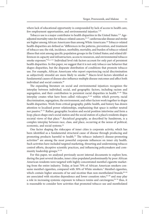where lack of educational opportunity is compounded by lack of access to health care, few employment opportunities, and environmental injustice.<sup>7,30</sup>

Tobacco use is a major contributor to health disparities in the United States.<sup>5,31</sup> Ageadjusted mortality rates for tobacco-related cancers,<sup>32-37</sup> cardiovascular disease and stroke are higher among African Americans than among White Americans.<sup>38</sup> Tobacco-related health disparities are defined as "differences in the patterns, prevention, and treatment of tobacco use; the risk, incidence, morbidity, mortality, and burden of tobacco-related illness that exist among specific population groups in the United States; and related differences in capacity and infrastructure, access to resources, and environmental tobacco smoke exposure."30, p. 211 Individual level risk factors account for only part of persistent health disparities. In this paper, we suggest that it is not only tobacco use behavior that shapes disparities, but the disparate distribution of conditions that promote tobacco use. For example, African Americans who report experiencing racial discrimination as subjectively stressful are more likely to smoke.<sup>39</sup> Macro-level factors identified as fundamental causes of disease also influence multiple disease outcomes and affect both individual and social contexts.40

The expanding literature on social and environmental injustices recognizes the interplay between individual, social, and geographic factors, including racism and segregation, and their contribution to persistent racial disparities in health.<sup>41-44</sup> This interplay creates what have been called *riskscapes*, 45–46 within which poverty, racial discrimination, segregation, the environment, and other factors work together to shape health disparities. Work from critical geography, public health, and history has drawn attention to localized power relationships, emphasizing that space is neither neutral nor passive.<sup>47–51</sup> Rather, geographic location and social position intertwine and form a loop; places shape one's social station and the social station of a place's residents shapes societal views of that place.<sup>52</sup> *Racialized geography*, as described by Sundstrom, is a complex interplay between race, class, and place, occurring at the nexus of political, economic, and social systems.<sup>52</sup>

One factor shaping the riskscapes of inner cities is corporate activity, which has been identified as a fundamental structural cause of disease through producing and promoting products harmful to health.<sup>53</sup> The tobacco industry's disease-promoting activities<sup>54</sup> are among the most powerful corporate influences on inner city health. Such activities have included targeted marketing, thwarting and undermining tobacco control efforts, deceptive scientific practices, and influencing policymakers and community leadership groups.55–59

For this paper, we analyzed previously secret internal documents to explore how, during the past several decades, inner cities populated predominantly by poor African American residents were targeted with highly concentrated menthol cigarette marketing from the entire industry. Today, at least 70% of African American smokers consume menthol cigarettes, compared with 30% of White smokers.<sup>5</sup> Menthol cigarettes, which contain higher amounts of tar and nicotine than non-mentholated brands, $60-64$ are associated with nicotine dependence and lower cessation rates,<sup>65-69</sup> and may play a role in increasing systemic exposure to tobacco toxins and carcinogens;<sup>70-76</sup> thus, it is reasonable to consider how activities that promoted tobacco use and mentholated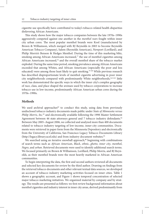cigarette use specifically have contributed to today's tobacco-related health disparities disfavoring African Americans.

This study shows how the major tobacco companies between the late 1970s–1990s aggressively competed against one another in the *menthol wars* fought within inner city urban cores. The most popular menthol brands were Kool (manufactured by Brown & Williamson, which merged with RJ Reynolds in 2003 to become Reynolds American Tobacco Company), Salem (Reynolds American), Newport (Lorillard), and Philip Morris's Benson & Hedges Menthol. During the time of this marketing blitz, smoking among African Americans increased, $77$  the use of menthol cigarettes among African Americans increased, $78$  and the overall menthol share of the tobacco market exploded. During the same time period, smoking prevalence among African Americans exceeded that among Whites, and African Americans (especially the poor and less educated) were among those least likely to quit smoking.<sup>79–80</sup> While previous research has described disproportionate levels of menthol cigarette advertising in poor inner city neighborhoods compared with predominantly White neighborhoods,<sup>16,31,81</sup> little work has demonstrated the specific ways in which the inner city's complex geography of race, class, and place shaped the avenues used by tobacco corporations to increase tobacco use in low-income, predominantly African American urban cores during the 1970s–1990s.

### **Methods**

We used archival approaches $82$  to conduct this study, using data from previously undisclosed tobacco industry documents made public under *State of Minnesota versus Philip Morris, Inc.*83 and electronically available following the 1998 Master Settlement Agreement between 46 state attorneys general and 7 tobacco industry defendants.<sup>84</sup> Between May 2005–August 2006, we collected and analyzed more than 400 documents related to tobacco industry targeting of low-income, inner-city communities. Documents were retrieved in paper form from the Minnesota Depository and electronically from the University of California, San Francisco Legacy Tobacco Documents Library (http://legacy.library.ucsf.edu) and from industry document websites.85

We searched using an iterative snowball approach,<sup>86</sup> beginning with combinations of search terms such as *African American*, *Black*, *ethnic*, *ghetto*, *inner city*, *menthol*, *Negro*, and *urban*. Retrieved documents were used to identify additional search terms. We focused primarily on Brown & Williamson, Lorillard, Philip Morris, and RJ Reynolds, as their menthol brands were the most heavily marketed in African American communities.

To begin interpreting the data, the first and second authors reviewed all documents and selected key documents for review by the third author. Drawing on findings from the retrieved tobacco documents and other relevant textual data sources, we developed an account of tobacco industry marketing activities focused on inner cities. Table 1 shows a geographic account, and Figure 1 shows temporal concentration of selected major tobacco marketing initiatives. We organized material by company and by strategy. The results are presented as follows: we first review background information about menthol cigarettes and industry interest in inner city areas, derived predominantly from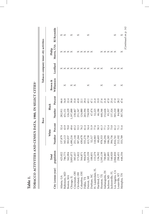| I UDACU ACIIYI IILƏ AND CENSUS DATA, 1980, IIN SELECI ULILƏ |            |           |                                                                     |           |                                      |                   |           |                                       |                         |
|-------------------------------------------------------------|------------|-----------|---------------------------------------------------------------------|-----------|--------------------------------------|-------------------|-----------|---------------------------------------|-------------------------|
|                                                             |            |           |                                                                     | Race      |                                      |                   |           | Tobacco company inner city activities |                         |
|                                                             | Total      |           | White                                                               | Black     |                                      | Brown &           |           | Philip                                |                         |
| City (census year)                                          | population | Number    | Percent                                                             | Number    | Percent                              | Williamson        | Lorillard | Morris, USA                           | RJ Reynolds             |
| Atlanta, GA                                                 | 425,022    | 137,879   | 32.4                                                                | 282,911   | 66.6                                 |                   | ×         | ×                                     | ×                       |
| Baltimore, MD                                               | 786,775    | 345,113   | 43.9                                                                | 431,151   | 54.8                                 | ×                 | ×         | ×                                     | ×                       |
| Boston, MA                                                  | 562,994    | 393,937   | $70.0$                                                              | 126,229   | 22.4                                 |                   | ×         | ×                                     |                         |
| Chicago, IL                                                 | 3,005,072  | 1,490,216 | 49.6                                                                | 1,197,000 | 39.8                                 | $\times$ $\times$ | $\times$  | $\Join$                               | ×                       |
|                                                             | 385,457    | 251,144   | 65.2                                                                | 130,467   | 33.8                                 |                   | $\times$  |                                       |                         |
| Cincinnati, OH<br>Cleveland, OH                             | 573,822    | 307,264   | 53.5                                                                | 251,347   | 43.8                                 |                   | $\Join$   | ×                                     | ×                       |
| Columbus, OH                                                | 564,871    | 430,678   |                                                                     | 124,880   | 22.1                                 |                   | ×         | ×                                     |                         |
| Dallas, TX                                                  | 904,078    | 555,270   |                                                                     | 265,594   |                                      |                   | $\times$  | ×                                     |                         |
| Detroit, MI                                                 | 1,203,339  | 413,730   | 2<br>2 3 4 4 9 9 9 9 9 1 4 9 0 1 1 9<br>2 5 4 5 6 5 6 7 8 9 9 9 1 9 | 758,939   | $29.1$<br>$47.1$<br>$47.1$<br>$21.0$ | ×                 | ×         | $\Join$                               | ×                       |
| Durham, NC                                                  | 100,831    | 52,317    |                                                                     | 47,474    |                                      |                   |           | $\times$                              |                         |
| Ft. Lauderdale, FL                                          | 153,279    | 118,983   |                                                                     | 32,225    |                                      |                   | ×         |                                       |                         |
|                                                             | 136,392    | 68,603    |                                                                     | 46,186    | 33.9                                 |                   | $\times$  |                                       |                         |
| Hartford, CT<br>Houston, TX                                 | 1,595,138  | 978,353   |                                                                     | 440,346   | 27.6                                 | ×                 | ×         |                                       |                         |
| Indianapolis, IN                                            | 700,807    | 540,294   |                                                                     | 152,626   |                                      |                   |           | ×                                     |                         |
|                                                             | 202,895    | 106,285   |                                                                     | 95,357    | 47.0                                 |                   |           |                                       |                         |
| Jackson, MS<br>Jacksonville, FL                             | 540,920    | 394,756   |                                                                     | .37,324   | 25.4                                 |                   |           | $\times \times \times$                |                         |
| Los Angeles, CA                                             | 2,966,850  | 1,816,761 |                                                                     | 505,210   | 17.0                                 | ×                 | ×         |                                       | ×                       |
| Louisville, KY                                              | 298,451    | 212,102   |                                                                     | 84,080    | 28.2                                 |                   | $\times$  |                                       |                         |
| Memphis, TN                                                 | 646,356    | 333,789   |                                                                     | 307,702   | $47.6$                               | ×                 | $\times$  | ×                                     | ×                       |
|                                                             |            |           |                                                                     |           |                                      |                   |           |                                       | (Continued on p. $14$ ) |

**TOBACCO ACTIVITIES AND CENSIIS DATA 1980. IN SEIFCT CITIES Tobacco Activities and Census Data, 1980, in select cities**a

**Table 1.**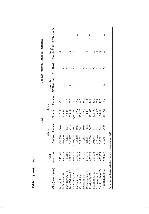|                    |            |                   |              | Race      |                      |                   |                   | Tobacco company inner city activities |            |
|--------------------|------------|-------------------|--------------|-----------|----------------------|-------------------|-------------------|---------------------------------------|------------|
|                    | Total      |                   | White        | Black     |                      | Brown &           |                   | Philip                                |            |
| City (census year) | population | Number<br>Percent |              | Number    | Percent              | Williamson        | Lorillard         | Morris, USA RJ Reynolds               |            |
| Miami, FL          | 346,865    | 231,008           | 66.6         | 87,110    |                      |                   |                   | ×                                     |            |
| Milwaukee, WI      | 636,212    | 466,620           | 73.3         | 146,940   | 23.1                 |                   |                   |                                       |            |
| New Haven, CT      | 126,109    | 78,326            | 62.1         | 40,235    | 31.9                 |                   | $\times$ $\times$ |                                       |            |
| New Orleans, LA    | 557,515    | 236,987           | 42.5         | 308,149   | 55.3                 |                   | $\Join$           |                                       |            |
| New York, NY       | 7,071,639  | 4,294,075         | $60.7\,$     | 1,784,337 |                      | $\times$ $\times$ |                   | $\times$ $\times$                     |            |
| Norfolk, VA        | 266,979    | 162,300           | 60.8         | 93,987    | 25.2                 |                   |                   |                                       | $\times x$ |
| Oakland, CA        | 339,337    | 129,692           | 38.2         | 159,281   | 46.9                 |                   |                   |                                       |            |
| Paterson, NJ       | 137,970    | 70,203            | 50.9         | 47,091    |                      |                   | ×                 |                                       |            |
| Philadelphia, PA   | 1,688,210  | 983,084           |              | 638,878   | 34.1<br>37.8<br>24.0 |                   | ×                 | ×                                     |            |
| Pittsburgh, PA     | 423,938    | 316,694           | 58.2<br>74.7 | 101,813   |                      |                   | $\times$          |                                       | ×          |
| Richmond, VA       | 219,214    | 104,743           | $47.8\,$     | 112,357   | 51.3                 |                   | ×                 | $\times$                              |            |
| St. Louis, MO      | 453,085    | 242,576           | 53.5         | 206,386   | 45.6                 |                   | ×                 |                                       |            |
| San Francisco, CA  | 678,974    | 395,081           | 58.2         | 86,414    | 12.7                 |                   | ×                 | $\times$ $\times$                     |            |
| Washington, D.C.   | 638,333    | 171,768           | 26.9         | 448,906   | 70.3                 | ×                 | ×                 | $\times$                              | ×          |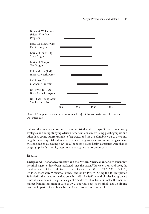

Figure 1. Temporal concentration of selected major tobacco marketing initiatives in U.S. inner cities.

industry documents and secondary sources. We then discuss specific tobacco industry strategies, including studying African American consumers using psychographic and other data; giving out free samples of cigarettes and the use of mobile vans to drive into neighborhoods; specialized inner city retailer programs; and community engagement. We conclude by discussing how today's tobacco-related health disparities were shaped by geographically-specific, intentional and aggressive corporate activity.

### **Results**

**Background: The tobacco industry and the African American inner city consumer**. Menthol cigarettes have been marketed since the 1920s.<sup>87</sup> Between 1957 and 1963, the menthol share of the total cigarette market grew from 5% to 16%.88-89 (See Table 2.) By 1964, there were 9 menthol brands, and 23 by 1971.<sup>90</sup> During the 15-year period 1956–1971, the menthol market grew by 48%.<sup>90</sup> By 1982, menthol sales had grown 6 times as fast as sales in the general cigarette market.<sup>91</sup> Salem had dominated the menthol market from its inception in 1956 to 1972, but Kool now led menthol sales. Kool's rise was due in part to its embrace by the African American community.<sup>92</sup>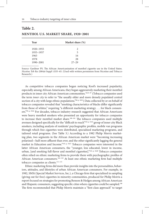## **Table 2.**

| <b>MENTHOL U.S. MARKET SHARE, 1920-2001</b> |  |
|---------------------------------------------|--|
|---------------------------------------------|--|

| Year      | Market share (%) |  |
|-----------|------------------|--|
| 1920–1955 | 2                |  |
| 1955-1957 | 5                |  |
| 1963      | 16               |  |
| 1978      | 28               |  |
| 1990-2001 | $27 - 29$        |  |
|           |                  |  |

Source: Gardiner PS. The African Americanization of menthol cigarette use in the United States. *Nicotine Tob Res* 2004;6 Suppl 1:S55–65. (Used with written permission from Nicotine and Tobacco Research.)

As competitive tobacco companies began noticing Kool's increased popularity, especially among African Americans, they began aggressively marketing their menthol products in inner city African American communities.78,93–97 (Tobacco companies used the term *inner city* to refer to "the usually older and more densely populated central section of a city with large ethnic populations."98, p. 5851) Data collected by or on behalf of tobacco companies revealed that "smoking characteristics of blacks differ significantly from those of whites," requiring "a different marketing strategy . . . for black consumers."99, p. 9184 For decades, tobacco industry research suggested that African Americans were heavy menthol smokers who presented an opportunity for tobacco companies to increase their menthol market share.<sup>100-101</sup> The tobacco companies used multiple avenues designed specifically for the "difficult to reach"<sup>102, p. 5434</sup> group of inner city Black smokers, including analysis of residents' psychographic profiles, mobile van programs through which free cigarettes were distributed, specialized marketing programs, and tailored retail programs. (See Table 3.) According to a 1982 Philip Morris marketing plan, two segments in the African American market were "becoming increasing polarized—half more affluent than ever, and the other significantly lagging the general market in Education and Income."103, p. 5627 Tobacco companies were interested in the latter African American consumers, the "younger, less educated, lower in income, urban, [and smoking full-flavor and menthol cigarettes]."103, p. 5628 Tobacco companies often relied on ethnic marketing firms to provide them with psychographic profiles of African American consumers.<sup>104–110</sup> At least one ethnic marketing firm had multiple tobacco companies as clients.<sup>111-115</sup>

Ethnic marketing firms did more than provide insights into the personalities, behaviors, attitudes, and lifestyles of urban African American consumers. For example, in 1982, SMSi (Special Market Services, Inc.), a Chicago firm that specialized in sampling (giving out for free) cigarettes in minority communities, produced for Philip Morris a report focused on strategies for promoting Benson & Hedges among African American and Hispanic consumers, suggesting specific cities where cigarettes could be sampled.<sup>108</sup> The firm recommended that Philip Morris maintain a "first-class approach" to target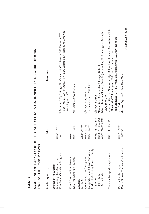| 1990s<br>DURING THE 1970s TO                                 |                         | SAMPLING OF TOBACCO INDUSTRY ACTIVITIES IN U.S. INNER CITY NEIGHBORHOODS                                                                   |
|--------------------------------------------------------------|-------------------------|--------------------------------------------------------------------------------------------------------------------------------------------|
| Marketing activity                                           | Dates                   | Locations                                                                                                                                  |
| Brown & Williamson                                           |                         |                                                                                                                                            |
| Kool Inner City Music Program<br>Marketing Plans Sales Force | $01/73 - 12/73$<br>1982 | Los Angeles, CA; Memphis, TN; New Orleans, LA; New York City, NY;<br>Baltimore, MD; Chicago, IL; Cincinnati, OH; Detroit, MI; Houston, TX; |
|                                                              |                         | Washington, DC                                                                                                                             |
| Kool Music on Tour Program<br>Kool Van Sampling Program      | 01/84-12/91<br>03/83    | All regions across the U.S.                                                                                                                |
| Lorillard                                                    |                         |                                                                                                                                            |
| Media Mix                                                    | 09/71-12/71             |                                                                                                                                            |
| Criterion (3 Sheet) Program                                  | 08/74-07/75             | Chicago; New York City                                                                                                                     |
| Newport's 3 and 8 Sheet Showings                             | 09/74-06/75             | New Jersey; New York City                                                                                                                  |
| Lorillard Marketing Research Study                           |                         |                                                                                                                                            |
| Pre-test                                                     | 09/13/78-09/14/78       | Chicago; Detroit                                                                                                                           |
| Pilot Study                                                  | 09/28/78-09/29/78       | Atlanta, GA; Boston, MA; Chicago; Detroit                                                                                                  |
| Main Study                                                   | 01/02/79-01/06/79       | Atlanta; Boston; Chicago; Detroit; Jacksonville, FL; Los Angeles; Memphis;<br>New York City                                                |
| Vantastic Newport Sampler Van                                | 09/01/83-09/30/83       | Bronx and Queens, New York City; Dallas, Houston, and San Antonio, TX;<br>Hartford, CT; Los Angeles, Oakland, Sacramento, and              |
|                                                              |                         | San Francisco, CA; Paterson, NJ; Philadelphia, PA; Providence, RI                                                                          |
| Play Ball with Newport                                       | 01/85-12/85             | New York                                                                                                                                   |
| Krush Groove Concert Van Sampling                            | 12/27/85                | Madison Square Garden, New York                                                                                                            |
|                                                              |                         | (Continued on n 18)                                                                                                                        |

**Sampling of Tobacco Industry Activities in U.S. Inner City Neighborhoods Table 3.**  $C \land R$ 

 $(Continued on p. 18)$ *(Continued on p. 18)*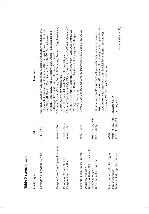| Table 3 (continued).                                                                                   |                                                 |                                                                                                                                                                                                                                                                                                                                                         |
|--------------------------------------------------------------------------------------------------------|-------------------------------------------------|---------------------------------------------------------------------------------------------------------------------------------------------------------------------------------------------------------------------------------------------------------------------------------------------------------------------------------------------------------|
| Marketing activity                                                                                     | Dates                                           | Locations                                                                                                                                                                                                                                                                                                                                               |
| Newport Van Program (10 Vans)                                                                          | 1988-1991                                       | All regions across the U.S. (including Alabama; Baltimore/Washington, DC;<br>Cincinnati, Cleveland and Columbus, OH; Chicago; Connecticut; Detroit<br>Memphis; Milwaukee, WI; Mississippi; New Orleans; Philadelphia and<br>and Flint, MI; Florida; Knoxville and Louisville, KY; Massachusetts;<br>Pittsburgh, PA; Rhode Island; St. Louis, MO; Texas) |
| Newport Inner City Lighter Promotion                                                                   | $01/89 - 03/89$                                 | Baltimore; Boston; Chicago; Detroit; Milwaukee; New York City; Providence;<br>Richmond, VA; Springfield, MA                                                                                                                                                                                                                                             |
| Pleasure on Wheels (P.O.W.)<br>Newport Promotion Plan                                                  | 11/93-3/31/94<br>01/94-12/94                    | Baltimore/Washington, DC; Albany, Bronx, Brooklyn, Buffalo, Rochester and<br>Syracuse New York; Bridgeport, Hartford, New Haven and Stamford, CT;<br>Chicago; Cleveland; Detroit; Ft. Lauderdale; Philadelphia; Pittsburgh;<br>Detroit; Ft. Lauderdale and Miami, FL; Philadelphia                                                                      |
| Newport Special Events Program                                                                         | 01/94-12/94                                     | Daytona Beach and Panama City, FL; Jersey Shore, NJ; Virginia Beach, VA<br>Miami; New Jersey                                                                                                                                                                                                                                                            |
| Benson & Hedges (B&H) Inner City<br>B & H Inner City Program<br>Philip Morris, USA<br>Sampling Program | 06/03/85-08/23/85<br>06/87-08/87                | Worth; Houston; Jackson, MS; Jacksonville; Los Angeles; Memphis; Miami;<br>Baltimore; Cleveland/Akron and Columbus/Augusta; Chicago; Dallas/Ft.<br>New Orleans and Shreveport, LA; Philadelphia; Raleigh/Durham, NC;<br>Richmond, VA; St. Louis; San Francisco                                                                                          |
| Marlboro Inner City Bar Nights<br>Indiana Black Expo Celebration<br>Soul Food Picnic                   | 06/18/88-06/19/88<br>07/07/88-07/10/88<br>07/88 | (Continued on p. 19)<br>Indianapolis, IN<br>Indianapolis                                                                                                                                                                                                                                                                                                |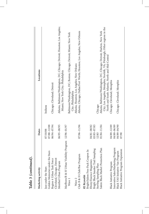| Marketing activity                                                            | Dates                      | Locations                                                                                                                    |
|-------------------------------------------------------------------------------|----------------------------|------------------------------------------------------------------------------------------------------------------------------|
| Jazz under the Stars                                                          | 07/10/88                   | Indiana                                                                                                                      |
| Golden Memories under the Stars                                               | 07/88-12/88                |                                                                                                                              |
| Region 4 Urban Task Force                                                     | 06/94-07/94                | Chicago; Cleveland; Detroit                                                                                                  |
| Cleveland, Chicago, Detroit                                                   |                            |                                                                                                                              |
| Menthol Urban Program                                                         | 06/95-08/95                | Atlanta; Baltimore/Washington, DC; Chicago; Detroit; Houston; Los Angeles;<br>Miami; New York City; Philadelphia             |
| Marlboro/B & H Urban Visibility Program                                       | 12/96-01/97                |                                                                                                                              |
| Wave 1                                                                        |                            | Baltimore/Washington, DC; Boston; Chicago; Detroit; Miami; New York<br>City; Philadelphia                                    |
| Wave 2                                                                        |                            | Atlanta; Houston; Los Angeles; New Orleans                                                                                   |
| Club B & H Club/Bar Program                                                   | $07/96 - 11/96$            | Atlanta; Chicago; Dallas/Fort Worth; Houston; Los Angeles; New Orleans                                                       |
| Bright/Salem Free Pack Coupon In<br>Ebony/Essence Magazines<br>RJ Reynolds    | 04/81-08/82                |                                                                                                                              |
| Bright Black Smoker Trail Sampling<br>Sterling Sampling Plan                  | 03/83-07/83<br>12/83       | Chicago                                                                                                                      |
| Salem Black Market Promotion Plan                                             | 01/84-11/84                | Atlanta; Baltimore/Washington, DC; Chicago; Detroit; Harlem, New York                                                        |
|                                                                               |                            | City; Los Angeles; Memphis; Norfolk, VA; Pittsburgh; Other regions in the<br>North and South Atlantic, North and Mid-Central |
| Innovative Sales/Marketing Program<br>Black Initiative Program                | 04/89-12/89<br>04/89-06/89 | Chicago; Cleveland; Memphis                                                                                                  |
| <b>Black Initiative Program Expansion</b><br>Black YAS Initiative Van Program | 04/89-04/90<br>07/90       | Chicago; Cleveland; Memphis                                                                                                  |
|                                                                               |                            |                                                                                                                              |

Table 3 (continued). **Table 3** *(continued)***.**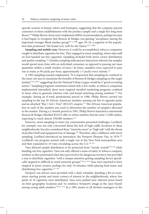upscale women in beauty salons and boutiques, suggesting that the company present customers in these establishments with the product sample and a single live long stem flower.<sup>108</sup> Philip Morris chose not to implement SMSi's recommendation, perhaps because it had begun to recognize that Benson & Hedges was gaining "acceptance among the important younger Black smoker group,"<sup>91, p. 8889</sup> ages 18-24, a segment of the population that positioned "the brand very well for the future."<sup>91, p. 8889</sup>

**Sampling and mobile vans**. However it could be accomplished, tobacco companies sought to distribute cigarettes for free. They engaged in street sampling, where sales staff on foot handed out free cigarettes. Sampling included both street corner distribution and *quality sampling*.<sup>116</sup> (Quality sampling indicated an interaction wherein the sampler would spend more time with an individual consumer, as opposed to passing out mass quantities within a small window of time.) At times, samplers were expected to pass out as many as 90 packs per hour, approximately 1.5 packs every minute.<sup>116</sup>

A 1985 sampling manual emphasized, "It is important that sampling be confined to the inner city area to maximize the benefits of Benson & Hedges sampling on the target market,"<sup>116, p. 8013</sup> suggesting that the National Urban League would be a "good recruiting source." Sampling programs sometimes lasted only a few weeks, as tobacco companies implemented intensified, short term targeted menthol marketing programs confined to inner cities to generate interest, trial, and brand-switching among residents.<sup>116</sup> For example, during an 8-week promotional period in 1986, Philip Morris carried out sampling in the top 20 African American markets, passing out free 6-cigarette packs and an attached "Buy 1 Get 1 Free" (B1G1F) coupon.<sup>117</sup> The African American population in each of the markets was used to determine the number of samplers allocated to the market. During a 2-month period in 1991, Philip Morris launched a nationwide Benson & Hedges Menthol B1G1F offer in urban markets that hit some 17,000 outlets, expecting to reach almost 350,000 smokers.<sup>118</sup>

However, street sampling in inner city communities presented challenges. Lorillard, for example, was not only concerned about the lack of high traffic locations in these neighborhoods, but also considered these "minority areas" as "high risk" with the threat of product theft and equipment loss or damage.102 Therefore, after a dalliance with street sampling, Lorillard introduced an innovation, the Newport Pleasure Van, in 1979.<sup>102</sup> Lorillard's van program started with a single van in the New York metropolitan area and then expanded to 10 vans circulating across the U.S.<sup>119-125</sup>

Vans allowed sample distributors to be protected from "unruly crowds"122,126 while handing out free cigarettes. Vans not only offered a sense of safety to tobacco company workers as they penetrated what they perceived to be dangerous territory, but provided a way to distribute cigarettes "with a unique attention getting sampling device specifically targeted to difficult to reach minority groups."<sup>102, p. 5434</sup> Vans were reported to have stopped at street corners, perhaps for only 10 minutes, while playing loud music and distributing free cigarettes.<sup>127-128</sup>

Newport van drivers were provided with a daily schedule, detailing a list of crossstreet starting points and street corners of interest in the neighborhoods, where free packs of 10 cigarettes were distributed. Vans were parked near selected stores based on their geographic locations and "to reinforce Newport's image as the 'peer brand' among young adult smokers."<sup>129, p. 2731</sup> In a 1981 memo to all division managers in the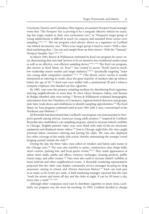Cincinnati, Dayton, and Columbus, Ohio regions, an assistant Newport brand manager wrote that "The Newport Van is proving to be a uniquely effective vehicle for reaching this target market in their own enviroment [*sic*]," as "Newport's target group of young adults/blacks is difficult to reach via coupons and standard street corner crew sampling."<sup>120, p. 6117</sup> The van program catch phrase, shown as a signature on Lorillard van-related documents, was: "When your target group is hard to reach / With a standard marketing plan, / Get out and sample them on their streets / With the 'Vantastic' Newport Sampler Van."120, p. 6117

In March 1983, Brown & Williamson instituted its Kool van program for inner cities, determining that vans had "proven to be an intrusive non-traditional media venue as well as an effective, cost-efficient sampling device."<sup>130, p. 0535</sup> The Kool van program, also known as Kool Music on Tour,<sup>131</sup> was created to access "Kool's hard-to-reach, low readership starter market and target audience,"130,132 specifically targeting "inner city, young adult competitive smokers."133, p. 1291 (The phrase *starter market* is usually interpreted as referring to youth, since the great majority of smokers take up tobacco before the age of 18.134) Kool vans were staffed with a professional DJ and a tobacco company employee who handed out free cigarettes.

By 1985, vans were the primary sampling medium for distributing Kool cigarettes, entering neighborhoods in more than 50 cities where Newport, Salem, and Benson & Hedges Menthol sales were strong.133 Brown & Williamson evaluated demographic information from the Chambers of Commerce, regional festival directors and groups, state fairs, trade shows and exhibitions to identify sampling opportunities.130 The Kool Music on Tour program continued until at least 1991 with 3 vans, concentrated in the Northeast and Midwest.<sup>135</sup>

RJ Reynolds had determined that Lorillard's van program was instrumental to Newport's growth among African American young adult smokers.<sup>127</sup> Inspired by Lorillard, Reynolds also established a van sampling program, aimed to increase Salem's visibility in Chicago. Brightly-painted video vans were fitted with state-of-the-art electronic equipment and displayed music videos.<sup>136</sup> Sent to Chicago nightclubs, the vans caught potential Salem customers entering and leaving the clubs. The vans also displayed live video coverage of the inside club action, thereby entertaining the younger crowd hanging around outside the club.<sup>136</sup>

During the day, the three video vans called on retailers and Salem sales teams in the Chicago area.136 The vans also traveled to parks, construction sites, bingo halls, street corners, parking lots, and local sports events.<sup>128,137</sup> They made appearances at urban street malls, public aid offices, currency exchanges, housing projects, public transit stops, and other venues.<sup>138</sup> Vans were also used to increase Salem's visibility at street festivals and other neighborhood events. A Reynolds marketing representative proposed that the video vans display community service messages focusing on drug awareness, staying in school, and African American History.139 Each van took part in as many as 60 events per week. A field marketing manager reported that the vans "work the streets and stores all day and the clubs at night. It can be 20 hours a day, seven days a week."136, p. 8941

Although other companies used vans to distribute cigarettes in inner cities, Lorillard's van program was the most far-reaching. In 1993, Lorillard decided to change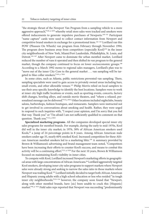"the strategic thrust of the Newport Van Program from a sampling vehicle to a more aggressive approach,"<sup>140, p. 4259</sup> whereby retail store sales were tracked and smokers were offered inducements to generate impulsive purchases of Newports.<sup>140-141</sup> Participant "name capture" cards were used to collect contact information from Newport and competitive brand smokers in exchange for a promotional item.<sup>142-143</sup> Lorillard ran this POW (Pleasure On Wheels) van program from February through November 1994. The program drew business away from competitors (especially Kool) $144$  in the inner city neighborhoods of New York, Miami/Fort Lauderdale, Philadelphia, St. Louis, and Detroit.<sup>145-147</sup> After Newport came to dominate the urban menthol market, Lorillard reduced the number of vans it operated and then shifted its van program to the general market, though the company continued to focus on lower socioeconomic groups.<sup>148</sup> According to a March 1992 memo to regional sales managers, Lorillard's plan was to "move out of the inner City Core to the general market . . . van sampling will be targeted to blue collar smokers."149, p. 7856

In some cities, such as Atlanta, public restrictions prevented van sampling. There, sampling specialists were used to gain access to privately owned areas including bars, small events, and other allowable venues.<sup>125</sup> Philip Morris relied on local samplers to use their area-specific knowledge to identify the best locations. Samplers were to work at inner city high traffic locations or events, such as sporting events, concerts, factory shift changes, bowling alleys, and outside movie theaters, and "where a relaxed, personalized message can be delivered."<sup>116, p. 8014</sup> Other locations included nightclubs, beauty salons, barbershops, fashion boutiques, and restaurants. Samplers were instructed not to get involved in conversations about smoking and health. Rather, they were urged to respond to such inquiries with, "I respect your opinion, and I'm sorry that you feel that way. Thank you" or "I'm afraid I am not sufficiently qualified to comment on that question. Thank you."116, p. 8025

**Specialized marketing programs**. All the companies developed special inner city sales programs for menthol brands. For example, during the early to mid-1970s, Kool did well in the inner city market; in 1976, 38% of African American smokers used Kools,<sup>92</sup> a jump of 24 percentage points in 8 years. Among African American male smokers under age 35, nearly 60% smoked Kool. Increased competition for these African American menthol smokers led to a marketing blitz.<sup>150</sup> A summary provided by Brown & Williamson's advertising and brand management team noted, "Competitors have been increasing their efforts to counter Kool's success, and means to combat this activity will be a continuing effort."<sup>151, p. 9109</sup> For the next 10 years, Brown & Williamson focused on maintaining Kool's visibility in inner cities.

To compete with Kool, Lorillard increased Newport's marketing efforts in geographical areas with large concentrations of African Americans.<sup>96</sup> Lorillard aggressively targeted Kool smokers, developing inner city sales programs to support markets where Newport sales were already strong and seeking to narrow the sales ratio in those markets where Newport was trailing Kool.<sup>152</sup> Lorillard initially decided to target both African American and Hispanic young adults with a high school education or less who resided "in tough inner city neighborhoods;"<sup>153-154</sup> however, the company soon found that "Newport, along with other menthol brands, have [sic] been unable to crack this [Hispanic] market."<sup>96, p. 7635</sup> Field sales reps reported that Newport was succeeding "predominantly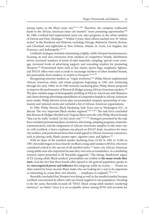among males, in the Black inner city."<sup>155, p. 4936</sup> Therefore, the company reallocated funds to the African American inner city market's "more promising opportunities."<sup>96</sup> By 1988, Lorillard had implemented inner city sales programs in the urban markets of Detroit and Flint, Michigan.152 Within 2 years, these efforts reached over 30 "ethnic niches" in the Northeast and Midwest, including Chicago, Baltimore, Detroit, Boston, and Cleveland; and nightclubs in New Orleans, Atlanta, St. Louis, Los Angeles, San Francisco, and Indianapolis.<sup>156-157</sup>

Lorillard's strategies included maintaining a highly visible Newport brand presence, focusing on trial and conversion from smokers of competitive brands, distribution drives, increased numbers of point-of-sales materials, sampling, special event coverage, increased levels of advertising support, and rewarding retailers for promoting Newport.158 Promotional items such as key chains, sports bags, sunglasses, lighters, and B1G1F offers were used as tools to encourage smokers of other menthol brands, but particularly Kool smokers, to switch to Newport.<sup>96,153,159</sup>

Recognizing minority markets as "virgin territories,"103 Philip Morris implemented African American ethnic and urban programs beginning in 1982 and continuing through the early 1990s. In its 1982 minority marketing plan, Philip Morris proposed to improve the performance of Benson & Hedges among African American smokers.<sup>103</sup> The plan contains pages of demographic profiling of African Americans and Hispanics and charts showing advertising expenditures of competitive brands in African American print media. Philip Morris's action plan recommended company sponsorship of community and national events and included a list of African American organizations.

In 1984, Philip Morris's Black Marketing Task Force met in Washington D.C. to discuss "the very important Black smoker segment."<sup>160, p. 0074</sup> The task force concluded that Benson & Hedges Menthol and Virginia Slims were the only Philip Morris brands "that can be really 'worked' [in the] inner city."<sup>161, p. 1444</sup> Strategies presented by the task force included promotional plans, incentives, advertising, sampling programs, materials, communication, and the assignment of African Americans samplers to the inner city. As with Lorillard, a heavy emphasis was placed on B1G1F deals, incentives for inner city retailers, and promotional items that would appeal to African American consumers, such as playing cards, blank cassette tapes, cigarette cases, and lighters.<sup>162</sup>

With its share of the menthol market declining from 22.4% in 1981 to 15.8% in 1987, Reynolds began to focus heavily on Black young adult smokers (BYAS), who were considered critical to the success of all menthol styles.<sup>127</sup> Inner city African American young adults were also important because they were seen as trendsetters. As a marketing research report presented to RJ Reynolds suggested, "The daring, flamboyant aspect of YA [young adult] Black smokers' personalities are evident in **the many trends they start.** And the fact that these trends often spread to the general population speaks to the **unrecognized power and influence** this subgroup yields on society. . . . Trends are often started by lower income Black males who are looking for a way to be important or interesting, to create their own identity . . . [emphases in original]."163, p. 7657

Reynolds concluded that Newport was doing so well in the menthol market because Lorillard concentrated its efforts with one brand targeted to one population. Deciding to do the same, Reynolds focused all "BYAS [black young adult smoker] marketing resources" on Salem "since it is an acceptable choice among BYAS and accounts for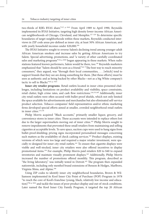two-thirds of RJR's BYAS share."<sup>127, p. 0163</sup> From April 1989 to April 1990, Reynolds implemented its BYAS Initiative, targeting high density lower-income African American neighborhoods of Chicago, Cleveland, and Memphis.<sup>127-128</sup> To determine specific boundaries of target neighborhoods within these markets, Reynolds conducted interviews in ZIP code areas pre-defined as inner city, at least 50% African American, and with yearly household incomes under \$20,000.<sup>164</sup>

The BYAS Initiative sought to reverse Salem's declining trend among younger adult African American smokers and increase sales by getting African Americans to try Salem. Special advertising, promotions, and "a variety of other carefully coordinated sales and marketing programs"<sup>136, p. 8939</sup> began appearing in these markets. When radio stations featured known performers, Salem would be there, too.<sup>136</sup> Reynolds marketers emphasized that "Salem should be seen as a friend."<sup>163</sup> "The best way to reach minority consumers," they argued, was "through their local communities, . . . [which] tend to support brands that they see are doing something for them. [But these efforts] must be seen as authentic and as being backed by other Blacks—not as a big White company's tactic to sell to Blacks."163, p. 7655

**Inner city retailer programs**. Retail outlets located in inner cities presented challenges, including limitations on product availability and visibility, space constraints, retail clutter, high crime rates, and cash flow restrictions.<sup>126,155,160</sup> Additionally, inner city retail outlets were often secured with bullet-proof shields, which not only limited the space available for advertisements and merchandise but also eliminated self-service product selection. Tobacco companies' field representatives and/or ethnic marketing firms developed special efforts aimed at smaller, crowded neighborhood retail outlets in inner cities.<sup>115,136</sup>

Philip Morris acquired "Black accounts," primarily smaller liquor, grocery, and convenience stores in inner cities. These accounts were intended to replace others lost due to the larger supermarkets moving out of inner cities.<sup>162</sup> Philip Morris sought to remove impediments that prevented these small retailers from maintaining and selling cigarettes at acceptable levels. To save space, suction cups were used to hang signs from bullet-proof shielding; pricing signs incorporated personalized messages concerning such matters as the availability of check cashing services.<sup>162</sup> Product displays, existing versions of which were too large and required a major retailer investment, were specially re-designed for inner city retail outlets.<sup>161</sup> To ensure that cigarette displays were visible and well-stocked, inner city retailers were also offered incentives to display promotional items.156 For example, Philip Morris paid retailers \$20 to \$40 to expand inventories and maintain visually prominent displays.165 Additionally, Philip Morris increased the number of promotions offered monthly. This program, described as "the living laboratory," was initially tested in Detroit.<sup>165</sup> The program then expanded nationwide, including only menthol brand extensions of Benson & Hedges, Marlboro, Virginia Slims, and Alpine.166

Using ZIP codes to identify inner city neighborhood boundaries, Brown & Williamson implemented its Kool Inner City Point of Purchase (POP) Program in 1978 "to reach the core of Kool's franchise (young, black, relatively low income and education)"98, p. 5852 and tackle the issues of poor product display and out-of-stock conditions. Later named the Kool Inner City Family Program, it targeted the top 20 African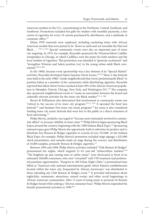American markets in the U.S., concentrating in the Northeast, Central, Southeast, and Southwest. Promotions included free gifts for retailers with monthly payments, a free carton of cigarettes for every 10 cartons purchased by distributors, and a multitude of consumer offers.<sup>167</sup>

Ethnic POP materials were employed, including marketing items with African American models that were poised to be "down to earth and not resemble the Harvard Black . . . . "<sup>167, p. 0342</sup> Special community events were also an important part of inner city targeting. In 1974, for example, Reynolds sponsored the Winston/Salem Cadillac sweepstakes in Chicago, in which Cadillacs were the prizes for both smokers and the local retailers of cigarettes. This promotion was intended to "generate excitement" and "strengthen Winston and Salem position [*sic*] in the young urban adult Black community."168, p. 0004

In the 1980s, because event sponsorship was a key element of its "Special Market" activities, Reynolds developed Salem Summer Street Scenes.<sup>169,170</sup> These 2-day festivals were held in the early 1980s "inside neighborhoods that [were] predominantly Black" to position Salem as a member of the community while distributing cigarettes. Reynolds reported that Salem Street Scenes reached at least 50% of the African American population in Memphis, Detroit, Chicago, New York, and Washington D.C.<sup>170</sup> The company also sponsored neighborhood events to "create an association between the brand and culturally relevant activities for the inner city Black smoker."171, p. 7889

Brown & Williamson also determined that involvement in community events was "critical to the success of its inner city program."<sup>172, p. 3353</sup> It operated the Kool Jazz festivals<sup>173</sup> and Summer Fest inner city music program<sup>174</sup> for years; it also considered funding inner city music festivals that were free to the public as a direct extension of Kool advertising.175

Philip Morris, similarly, was urged to "become more intimately involved in community affairs" to increase visibility in inner cities.<sup>160</sup> Philip Morris began sponsoring Black Expos around the country, beginning with the 1988 Indiana Black Expo.176 Sponsoring national expos gave Philip Morris the opportunity both to advertise its product and to distribute free Benson & Hedges cigarettes to crowds of over 325,000. At the Indiana Black Expo, for example, Philip Morris's promotion included stage signage, a \$25,000 check presentation, and remarks made on stage during the concert, and distribution of 10,000 samples, primarily Benson & Hedges cigarettes.177

Between 1995 and 1998, Philip Morris activities included "Club Benson & Hedges" promotional bar nights, which targeted 21–45 year-old "urban/ethnic markets."178 "The brightest up and coming stars in urban music" were showcased in front of an estimated 100,000 consumers, who were "rewarded" with VIP treatment and preferential purchase opportunities. "Passport to 100 Urban Night Clubs," a promotional item billed as "America's only national entertainment guide which features establishments located within the inner city, frequented by African-Americans," was distributed to those attending any Club Benson & Hedges event.<sup>179</sup> It provided information about nightclubs, restaurants, attractions, annual events, and other social happenings in African American communities. After 13 years of using music to promote its Benson & Hedges brand while seeking a "diverse consumer base," Philip Morris suspended the brand's promotional activities in 1999.<sup>180</sup>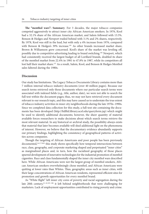**The "menthol wars": Summary**. For 3 decades, the major tobacco companies competed aggressively to attract inner city African American smokers. In 1976, Kool had a 32.1% share of the African American market, and Salem followed with 13.5%. Benson & Hedges and Newport trailed behind with 3.1% and 2% shares, respectively. By 1978, Kool was still in the lead, but with only a 4% increase from 1976, compared with Benson & Hedges's 39% increase.<sup>181</sup> As other brands increased market share, Brown & Williamson grew concerned. Kool's share of the market was leveling off, possibly due to competitive advertising leading to brand switching.182 Newport, which had consistently received the largest budget of all Lorillard brands, doubled its share of the menthol market from 22.4% in 1981 to 47.8% in 1987, while its competitors all lost half their market share.<sup>127</sup> As a result, Salem, Kool, and Benson & Hedges Menthol sales faltered during the 1980s.

### **Discussion**

Our study has limitations. The Legacy Tobacco Documents Library contains more than 7 million internal tobacco industry documents (over 40 million pages). Because our search terms retrieved only those documents where our particular search terms were associated with indexed fields (e.g., title, author, date), we were not able to search the full text within the document pages; thus, we may not have retrieved every document relevant to our research topic, and this may have caused us to understate the true extent of tobacco industry activities in inner city neighborhoods during the late 1970s–1990s. Since we completed data collection for this study, a full-text site containing the documents has been developed (http://ltdlftd.library.ucsf.edu/queryform.jsp) which might be used to identify additional documents; however, the sheer quantity of material available forces researchers to make decisions about which search terms retrieve the most relevant material. In any historical or archival study, the possibility always exists that material that later becomes available will shed additional light on the phenomena of interest. However, we believe that the documentary evidence abundantly supports our primary findings, highlighting the consistency of geographical patterns of activities across companies.

Though the targeting of African Americans and poor people has been previously documented,<sup>16,17,78,81</sup> this study shows specifically how temporal intersections between race, class, geography, and corporate marketing shaped and perpetuated "inner cities" as marginalized places and, in turn, how the racialized geography of those places spurred development of innovative technologies for the industrial promotion of menthol cigarettes. Race and class fundamentally shaped the inner city menthol wars described here. While African Americans were not the largest group of menthol smokers, African American smokers overwhelmingly chose menthol, and African Americans were quitting at lower rates than Whites. Thus, geographic areas such as inner cities, with their large concentrations of African American residents, represented efficient sites for promotion and growth opportunities for every menthol brand.

As "White flight" left inner city cores of poverty and racial segregation during the late 20th century,<sup>41-42,183-186</sup> it left behind neighborhoods that were challenging for marketers. Lack of employment opportunities contributed to rising poverty and crime.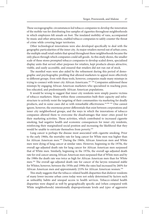These sociogeographic circumstances led tobacco companies to develop the innovation of the mobile van for distributing free samples of cigarettes throughout neighborhoods in which employees felt unsafe on foot. The insulated mobility of vans, accompanied by music and other attractions, enabled tobacco companies to safely counter the threat of crime while covering larger territories.

Other technological innovations were also developed specifically to deal with the geographic particularities of the inner city. As major retailers moved out of urban cores, the multiple small retail outlets that spread throughout these neighborhoods became the only places through which companies could sell goods. As this study shows, the smaller scale of these stores prompted tobacco companies to develop scaled down, specialized display units that served other purposes for retailers, kept products always attractive, visible, and easily accessible, and ensured that retailers did not run out of stock.

The menthol wars were also aided by the refinement during this period of demographic and psychographic profiling that allowed marketers to appeal more effectively to different groups. Even with these tools, however, companies made many missteps in trying to connect with inner city African Americans.<sup>187-189</sup> Companies addressed these missteps by engaging African American marketers who specialized in reaching poor, less educated, and predominantly African American populations.

It would be wrong to suggest that inner city residents were simply passive victims of tobacco marketers. Many within these communities built their capacity and infrastructure to actively resist the targeting of their communities via marketing for deadly products, and in some cases did so with remarkable effectiveness.<sup>16,190-192</sup> One cannot ignore, however, the enormous power differentials that exist between corporations and inner city neighborhood groups, and the ways in which the innovations of tobacco companies allowed them to overcome the disadvantages that inner cities posed for their marketing activities. Those activities, which contributed to increased cigarette smoking, had negative health and economic consequences for inner city residents, reinforcing their marginalized social position and increasing the likelihood that they would be unable to extricate themselves from poverty.<sup>193</sup>

Lung cancer is perhaps the disease most associated with cigarette smoking. Prior to the early 1960s, the mortality rate for lung cancer for White men was higher than for African American men.<sup>194</sup> During the 1960s, African American men and White men were dying of lung cancer at similar rates. However, beginning in the 1970s, the overall age-adjusted death rate for lung cancer for African American men surpassed that of White men. Similarly, beginning in the 1970s, the overall age-adjusted death rate for oral cancer among African American men surpassed that of White men and by the 1980s the death rate was twice as high for African American men than for White men.194 The overall age-adjusted death rate for cancer of the larynx remained stable for Whites; however, between the 1950s and 1990s the rates had increased by 260% for African American men and approximately 233% for African American women.<sup>194</sup>

This study suggests that the tobacco-related health disparities that disfavor residents of many lower-income urban cores today were not solely determined by factors such as unhealthy habits and unequal access to health services. Tobacco-related health disparities were shaped as well by geographically specific and (when compared with White neighborhoods) intentionally disproportionate levels and *types* of aggressive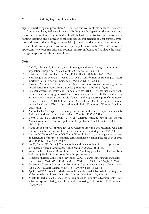cigarette marketing and promotion, $16,31,81$  carried out over multiple decades. They were in a fundamental way *industrially created*. Ending health disparities, therefore, cannot focus merely on identifying individual health behaviors or risk factors: it also means naming, resisting, and politically organizing resourceful defenses against corporate vectors of disease and attending to the social injustices that shape inner cities as targets. Recent efforts to emphasize community participatory research<sup>195-198</sup> could represent opportunities to organize efforts to counter industry influence and re-shape the racialized geography of health in inner cities.

### **Notes**

- 1. Dell JL, Whitman S, Shah AM, et al. Smoking in 6 diverse Chicago communities—a population study. Am J Public Health. 2005 Jun;95(6):1036–42.
- 2. Haviland L. A silence that kills. Am J Public Health. 2004 Feb;94(2):176–8.
- 3. Northridge ME, Morabia A, Ganz ML, et al. Contribution of smoking to excess mortality in Harlem. Am J Epidemiol. 1998 Feb 1;147(3):250–8.
- 4. Parnes B, Main DS, Holcomb S, et al. Tobacco cessation counseling among underserved patients: a report from CaReNet. J Fam Pract. 2002 Jan;51(1):65–9.
- 5. U.S. Department of Health and Human Services (HHS). Tobacco use among U.S. racial/ethnic minority groups—African Americans, American Indians and Alaska Natives, Asian Americans and Pacific Islanders, and Hispanics: a report of the Surgeon General. Atlanta, GA: HHS, Centers for Disease Control and Prevention, National Center for Chronic Disease Prevention and Health Promotion, Office on Smoking and Health, 1998.
- 6. Ahluwalia JS, McNagny SE. Smoking prevalence and desire to quit in inner city African American walk-in clinic patients. Clin Res. 1993;41:752A.
- 7. Delva J, Tellez M, Finlayson TL, et al. Cigarette smoking among low-income African Americans: a serious public health problem. Am J Prev Med. 2005 Oct; 29(3):218–20.
- 8. Hahn LP, Folsom AR, Sprafka JM, et al. Cigarette smoking and cessation behaviors among urban blacks and whites. Public Health Rep. 1990 May–Jun;105(3):290–5.
- 9. Hyman DJ, Simons-Morton DG, Dunn JK, et al. Smoking, smoking cessation, and understanding of the role of multiple cardiac risk factors among the urban poor. Prev Med. 1996 Nov–Dec;25(6):653–9.
- 10. Lee D, Cutler BD, Burns J. The marketing and demarketing of tobacco products to low-income African-Americans. Health Mark Q. 2004;22(2):51–68.
- 11. Resnicow K, Futterman R, Weston RE, et al. Smoking prevalence in Harlem, New York. Am J Health Promot. 1996 May–Jun;10(5):343–6.
- 12. Centers for Disease Control and Prevention (CDC). Cigarette smoking among adults— United States, 2004. MMWR Morb Mortal Wkly Rep. 2005 Nov 1;54(44):1121–4.
- 13. Centers for Disease Control and Prevention. Cigarette advertising—United States, 1988. MMWR Morb Mortal Wkly Rep. 1990 Apr 27;39(16):261–5.
- 14. Apollonio DE, Malone RE. Marketing to the marginalised: tobacco industry targeting of the homeless and mentally ill. Tob Control. 2005 Dec;14(6):409–15.
- 15. Arnett JJ, Terhanian G. Adolescents' responses to cigarette advertisements: links between exposure, liking, and the appeal of smoking. Tob Control. 1998 Summer; 7(2):129–33.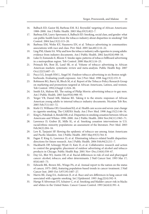- 16. Balbach ED, Gasior RJ, Barbeau EM. R.J. Reynolds' targeting of African Americans: 1988–2000. Am J Public Health. 2003 May;93(5):822–7.
- 17. Barbeau EM, Leavy-Sperounis A, Balbach ED. Smoking, social class, and gender: what can public health learn from the tobacco industry about disparities in smoking? Tob Control. 2004 Jun;13(2):115–20.
- 18. Barbeau EM, Wolin KY, Naumova EN, et al. Tobacco advertising in communities: associations with race and class. Prev Med. 2005 Jan;40(1):16–22.
- 19. Ling PM, Glantz SA. Why and how the tobacco industry sells cigarettes to young adults: evidence from industry documents. Am J Public Health. 2002 Jun;92(6):908–16.
- 20. Luke D, Esmundo E, Bloom Y. Smoke signs: patterns of tobacco billboard advertising in a metropolitan region. Tob Control. 2000 Mar;9(1):16–23.
- 21. Primack BA, Bost JE, Land SR, et al. Volume of tobacco advertising in African American markets: systematic review and meta-analysis. Public Health Rep. 2007 Oct;122(5):607–15.
- 22. Pucci LG, Joseph HM J., Siegel M. Outdoor tobacco advertising in six Boston neighborhoods. Evaluating youth exposure. Am J Prev Med. 1998 Aug;15(2):155–9.
- 23. Robinson RG, Barry M, Bloch M, et al. Report of the Tobacco Policy Research Group on marketing and promotions targeted at African Americans, Latinos, and women. Tob Control. 1992;1(Suppl 1):S24–30.
- 24. Smith EA, Malone RE. The outing of Philip Morris: advertising tobacco to gay men. Am J Public Health. 2003 Jun;93(6):988–93.
- 25. Yerger VB, Daniel MR, Malone RE. Taking it to the streets: responses of African American young adults to internal tobacco industry documents. Nicotine Tob Res. 2005 Feb;7(1):163–72.
- 26. Kiefe CI, Williams OD, Greenlund KJ, et al. Health care access and seven-year change in cigarette smoking. The CARDIA Study. Am J Prev Med. 1998 Aug;15(2):146–54.
- 27. King G, Polednak A, Bendel RB, et al. Disparities in smoking cessation between African Americans and Whites: 1990–2000. Am J Public Health. 2004 Nov;94(11):1965–71.
- 28. Lawrence D, Graber JE, Mills SL, et al. Smoking cessation interventions in U.S. racial/ethnic minority populations: an assessment of the literature. Prev Med. 2003 Feb;36(2):204–16.
- 29. Lew R, Tanjasiri SP. Slowing the epidemic of tobacco use among Asian Americans and Pacific Islanders. Am J Public Health. 2003 May;93(5):764–8.
- 30. Fagan P, King G, Lawrence D, et al. Eliminating tobacco-related health disparities: directions for future research. Am J Public Health. 2004 Feb;94(2):211–7.
- 31. Hackbarth DP, Schnopp-Wyatt D, Katz D, et al. Collaborative research and action to control the geographic placement of outdoor advertising of alcohol and tobacco products in Chicago. Public Health Rep. 2001 Nov–Dec;116(6):558–67.
- 32. Day GL, Blot WJ, Austin DF, et al. Racial differences in risk of oral and pharyngeal cancer: alcohol, tobacco, and other determinants. J Natl Cancer Inst. 1993 Mar 17; 85(6):465–73.
- 33. Edwards BK, Brown ML, Wingo PA, et al. Annual report to the nation on the status of cancer, 1975–2002, featuring population-based trends in cancer treatment. J Natl Cancer Inst. 2005 Oct 5;97(19):1407–27.
- 34. Harris RE, Zang EA, Anderson JI, et al. Race and sex differences in lung cancer risk associated with cigarette smoking. Int J Epidemiol. 1993 Aug;22(4):592–9.
- 35. Hartge P, Silverman DT, Schairer C, et al. Smoking and bladder cancer risk in blacks and whites in the United States. Cancer Causes Control. 1993 Jul;4(4):391–4.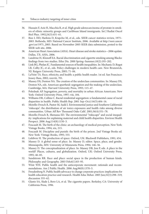- 36. Hussain F, Aziz H, Macchia R, et al. High grade adenocarcinoma of prostate in smokers of ethnic minority groups and Caribbean Island immigrants. Int J Radiat Oncol Biol Phys. 1992;24(3):451–61.
- 37. Ries L HD, Harkins D, Krapcho M, et al., eds. SEER cancer statistics review, 1975– 2003. Bethesda, MD: National Cancer Institute, 2006. Available at http://seer.cancer .gov/csr/1975\_2003. Based on November 2005 SEER data submission, posted to the SEER web site, 2006.
- 38. American Heart Association (AHA). Heart disease and stroke statistics—2006 update. Dallas, TX: AHA, 2006.
- 39. Landrine H, Klonoff EA. Racial discrimination and cigarette smoking among Blacks: findings from two studies. Ethn Dis. 2000 Spring–Summer;10(2):195–202.
- 40. Link BG, Phelan JC. Fundamental sources of health inequalities. In: Mechanic D, Rogut LB, Colby JC, et al., eds. Policy challenges in modern health care. New Brunswick, NJ: Rutgers University Press, 2005; 71–84.
- 41. LaVeist TA. Race, ethnicity, and health: a public health reader. 1st ed. San Francisco: Jossey-Bass, 2002; xxxviii, 701.
- 42. Massey DS, Denton NA. The creation of the underclass communities. In: Massey DS, Denton NA, eds. American apartheid: segregation and the making of the underclass. Cambridge, MA: Harvard University Press, 1993; 115–47.
- 43. Polednak AP. Segregation, poverty, and mortality in urban African Americans. New York: Oxford University Press, 1997; viii, 184.
- 44. Williams DR, Collins C. Racial residential segregation: a fundamental cause of racial disparities in health. Public Health Rep. 2001 Sep–Oct;116(5):404–16.
- 45. Morello-Frosch R, Pastor M, Sadd J. Environmental justice and Southern California's 'riskscape': the distribution of air toxics exposures and health risks among diverse communities. Urban Aff Rev Thousand Oaks Calif. 2001;36(4):551–78.
- 46. Morello-Frosch R, Shenassa ED. The environmental "riskscape" and social inequality: implications for explaining maternal and child health disparities. Environ Health Perspect. 2006 Aug;114(8):1150–3.
- 47. Foucault M. The birth of the clinic: an archaeology of medical perception. New York: Vintage Books, 1994; xix, 215.
- 48. Foucault M. Discipline and punish: the birth of the prison. 2nd Vintage Books ed. New York: Vintage Books, 1995; 333.
- 49. Lefebvre H. The production of space. Oxford, UK: Blackwell Publishers, 1991; 454.
- 50. Massey D. A global sense of place. In: Massey D, editor. Space, place, and gender. Minneapolis, MN: University of Minnesota Press, 1994; 146–56.
- 51. Massey D. The conceptualization of place. In: Massey DB, Jess P, eds. A place in the world? Places, cultures, and globalization. Oxford, UK: Oxford University Press, 1995; 46–85.
- 52. Sundstrom RR. Race and place: social space in the production of human kinds. Philosophy and Geography. 2003 Feb;6(1):83–95.
- 53. Wiist WH. Public health and the anticorporate movement: rationale and recommendations. Am J Public Health. 2006 Aug;96(8):1370–5.
- 54. Freudenberg N. Public health advocacy to change corporate practices: implications for health education practice and research. Health Educ Behav. 2005 Jun;32(3):298–319; discussion 355–62.
- 55. Glantz SA, Slade J, Bero LA, et al. The cigarette papers. Berkeley, CA: University of California Press, 1996.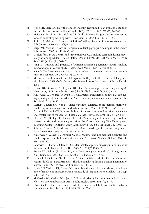- 56. Hong MK, Bero LA. How the tobacco industry responded to an influential study of the health effects of secondhand smoke. BMJ. 2002 Dec 14;325(7377):1413–6.
- 57. McDaniel PA, Smith EA, Malone RE. Philip Morris's Project Sunrise: weakening tobacco control by working with it. Tob Control. 2006 Jun;15(3):215–23.
- 58. Smith EA, Malone RE. "Creative Solutions": selling cigarettes in a smoke-free world. Tob Control. 2004 Mar;13(1):57–63.
- 59. Yerger VB, Malone RE. African American leadership groups: smoking with the enemy. Tob Control. 2002 Dec;11(4):336–45.
- 60. Centers for Disease Control and Prevention (CDC). Smoking cessation during previous year among adults—United States, 1990 and 1991. MMWR Morb Mortal Wkly Rep. 1993 Jul 9;42(26):504–7.
- 61. King G. Attitudes and practices of African-American physicians toward smoking interventions: an earlier study. J Assoc Acad Minor Phys. 1997;8(2):22–8.
- 62. King G. The "race" concept in smoking: a review of the research on African Americans. Soc Sci Med. 1997 Oct;45(7):1075–87.
- 63. Massachusetts Tobacco Control Program, Keithly L, Cullen D, et al. Changes in nicotine yields 1998–2004. Boston, MA: Massachusetts Department of Public Health, 2006.
- 64. Nelson DE, Giovino GA, Shopland DR, et al. Trends in cigarette smoking among US adolescents, 1974 through 1991. Am J Public Health. 1995 Jan;85(1):34–40.
- 65. Ahijevych KL, Tyndale RF, Dhatt RK, et al. Factors influencing cotinine half-life during smoking abstinence in African American and Caucasian women. Nicotine Tob Res. 2002 Nov;4(4):423–31.
- 66. Clark PI, Gautam S, Gerson LW. Effect of menthol cigarettes on biochemical markers of smoke exposure among Black and White smokers. Chest. 1996 Nov;110(5):1194–8.
- 67. Garten S, Falkner RV. Role of mentholated cigarettes in increased nicotine dependence and greater risk of tobacco-attributable disease. Prev Med. 2004 Jun;38(6):793–8.
- 68. Pletcher MJ, Hulley BJ, Houston T, et al. Menthol cigarettes, smoking cessation, atherosclerosis, and pulmonary function: the Coronary Artery Risk Development in Young Adults (CARDIA) Study. Arch Intern Med. 2006 Sep 25;166(17):1915–22.
- 69. Sidney S, Tekawa IS, Friedman GD, et al. Mentholated cigarette use and lung cancer. Arch Intern Med. 1995 Apr 10;155(7):727–32.
- 70. Ahijevych K, Gillespie J, Demirci M, et al. Menthol and nonmenthol cigarettes and smoke exposure in black and white women. Pharmacol Biochem Behav. 1996 Feb; 53(2):355–60.
- 71. Benowitz NL, Herrera B, Jacob P 3rd. Mentholated cigarette smoking inhibits nicotine metabolism. J Pharmacol Exp Ther. 2004 Sep;310(3):1208–15.
- 72. Brooks DR, Palmer JR, Strom BL, et al. Menthol cigarettes and risk of lung cancer. Am J Epidemiol. 2003 Oct 1;158(7):609–16; discussion 617–20.
- 73. Caraballo RS, Giovino GA, Pechacek TF, et al. Racial and ethnic differences in serum cotinine levels of cigarette smokers: Third National Health and Nutrition Examination Survey, 1988–1991. JAMA. 1998 Jul 8;280(2):135–9.
- 74. Jarvik ME, Tashkin DP, Caskey NH, et al. Mentholated cigarettes decrease puff volume of smoke and increase carbon monoxide absorption. Physiol Behav. 1994 Sep; 56(3):563–70.
- 75. McCarthy WJ, Caskey NH, Jarvik ME, et al. Menthol vs. nonmenthol cigarettes: effects on smoking behavior. Am J Public Health. 1995 Jan;85(1):67–72.
- 76. Pérez-Stable EJ, Herrera B, Jacob P 3rd, et al. Nicotine metabolism and intake in black and white smokers. JAMA. 1998 Jul 8;280(2):152–6.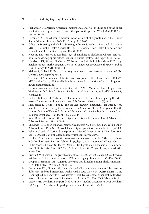- 77. Richardson TL. African-American smokers and cancers of the lung and of the upper respiratory and digestive tracts. Is menthol part of the puzzle? West J Med. 1997 Mar; 166(3):189–94.
- 78. Gardiner PS. The African Americanization of menthol cigarette use in the United States. Nicotine Tob Res. 2004 Feb;6 Suppl 1:S55–65.
- 79. Office on Smoking and Health. Smoking, tobacco & health, a fact book. Rockville, MD: HHS, Public Health Service (PHS), CDC, Centers for Health Promotion and Education, Office on Smoking and Health, 1986.
- 80. Novotny TE, Warner KE, Kendrick JS, et al. Smoking by blacks and whites: socioeconomic and demographic differences. Am J Public Health. 1988 Sep;78(9):1187–9.
- 81. Hackbarth DP, Silvestri B, Cosper W. Tobacco and alcohol billboards in 50 Chicago neighborhoods: market segmentation to sell dangerous products to the poor. J Public Health Policy. 1995;16(2):213–30.
- 82. Malone R, Balbach E. Tobacco industry documents: treasure trove or quagmire? Tob Control. 2000 Sep;9(3):334–8.
- 83. The State of Minnesota v. Philip Morris Incorporated. Civil Case No. C1-94-8565. MN District Court, 1998. Available at http://www.library.ucsf.edu/tobacco/litigation/ mn/mnsettlement.html.
- 84. National Association of Attorneys General (NAAG). Master settlement agreement. Washington, DC: NAAG, 1998. Available at http://www.naag.org/upload/1032468605\_ cigmsa.pdf.
- 85. Balbach E, Gasior R, Barbeau E. Tobacco industry documents: comparing the Minnesota Depository and internet access. Tob Control. 2002 Mar;11(3):68–72.
- 86. MacKenzie R, Collin J, Lee K. The tobacco industry documents: an introductory handbook and resource guide for researchers. Center on Global Change and Health, London School of Hyeine & Tropical Medicine, 2003. Available at http://www.Ishtm .ac.uk/cgch/tobacco/Handbook%2030.06.pdf.
- 87. Reid JR. A history of mentholated cigarettes: this spud's for you. Recent Advances in Tobacco Sciences. 1993;19:71–84.
- 88. Murdock TK. Lennen & Newell. Newport call report #338. (Memo.) New York: Lennen & Newell, Inc., 1962 Nov 9. Available at http://legacy.library.ucsf.edu/tid/vzp40e00.
- 89. Yellen M. Lorillard. Lorillard sales position. (Memo.) Greensboro, NC: Lorillard, 1964 Sep 15. Available at http://legacy.library.ucsf.edu/tid/vqa63a00.
- 90. Lorillard. The menthol cigarette market—a summary—Job number 9016. Greensboro, NC: Lorillard, 1972 Feb. Available at http://legacy.library.ucsf.edu/tid/ipc31e00.
- 91. Philip Morris. Benson & Hedges Deluxe Ultra Lights slide presentation. Richmond, VA: Philip Morris USA, 1982 Mar15. Available at http://legacy.library.ucsf.edu/tid/ wve58d00.
- 92. Brown & Williamson. The growth of menthols 330000-770000. Macon, GA: Brown & Williamson Tobacco Corporation, 1978. http://legacy.library.ucsf.edu/tid/ank50f00.
- 93. Cooper R, Simmons BE. Cigarette smoking and ill health among black Americans. N Y State J Med. 1985 Jul;85(7):344–9.
- 94. Cummings KM, Giovino G, Mendicino AJ. Cigarette advertising and black-white differences in brand preference. Public Health Rep. 1987 Nov–Dec;102(6):698–701.
- 95. Henningfield JE, Benowitz NL, Ahijevych K, et al. Does menthol enhance the addictiveness of cigarettes? An agenda for research. Nicotine Tob Res. 2003 Feb;5(1):9–11.
- 96. Liebow MS. Lorillard. Newport field visit: Los Angeles. Greensboro, NC: Lorillard, 1987 Sep 18. Available at http://legacy.library.ucsf.edu/tid/zic98c00.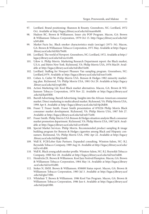- 97. Lorillard. Brand positioning: Shannon & Bounty. Greensboro, NC: Lorillard, 1972 Oct. Available at http://legacy.library.ucsf.edu/tid/man40e00.
- 98. Hudson RC. Brown & Williamson. Inner city POP Program. Macon, GA: Brown & Williamson Tobacco Corporation, 1979 Oct 15. http://legacy.library.ucsf.edu/tid/ icb91d00.
- 99. Market Facts Inc. Black smoker characteristics study (sex/age) (1971–34). Macon, GA: Brown & Williamson Tobacco Corporation, 1971 May. Available at http://legacy .library.ucsf.edu/tid/fdx79e00.
- 100. Lorillard. The world of Newport. Greensboro, NC: Lorillard, 1972. Available at http:// legacy.library.ucsf.edu/tid/szc41e00.
- 101. Udow A. Philip Morris. Marketing Research Department report: the Black market, U.S.A. and Metro New York. Richmond, VA: Philip Morris USA, 1976 Mar29. Available at http://legacy.library.ucsf.edu/tid/dbz55e00.
- 102. Lorillard. Staffing for Newport Pleasure Van sampling program. Greensboro, NC: Lorillard,1979. Available at http://legacy.library.ucsf.edu/tid/nnr31e00.
- 103. Cohen A, Cutler W. Philip Morris USA. Benson & Hedges 1982 minority marketing plan. Richmond, VA: Philip Morris USA, 1981 Oct 29. Available at http://legacy .library.ucsf.edu/tid/yrq81f00.
- 104. Action Marketing Ltd. Kool Black market alternatives. Macon, GA: Brown & Williamson Tobacco Corporation, 1978 Nov 22. Available at http://legacy.library.ucsf .edu/tid/kje83f00.
- 105. Burrell Advertising. Burrell Advertising. Insights into the African-American consumer market. Direct marketing to multicultural market. Richmond, VA: Philip Morris USA, 1998 Apr 8. Available at http://legacy.library.ucsf.edu/tid/rlp28d00.
- 106. Fraser T. Fraser Smith. Fraser Smith presentation of 870226 Philip Morris Black consumer market development. Richmond, VA: Philip Morris USA, 1987 Feb 27. Available at http://legacy.library.ucsf.edu/tid/mfr75e00.
- 107. Fraser Smith. Philip Morris USA Benson & Hedges situation analysis Black consumer market promotion department. Richmond, VA: Philip Morris USA, 1987 Jul 8. Available at http://legacy.library.ucsf.edu/tid/czv83e00.
- 108. Special Market Services. Philip Morris. Recommended product sampling & image building program for Benson & Hedges cigarettes among Black and Hispanic consumers. Richmond, VA: Philip Morris USA, 1982 Apr 22. Available at http://legacy .library.ucsf.edu/tid/hbp54e00.
- 109. Wall K. FCB/Leber Katz Partners. Expanded consulting. Winston-Salem, NC: R.J. Reynolds Tobacco Company, 1989 Aug 16. Available at http://legacy.library.ucsf.edu/ tid/icv61d00.
- 110. Wall K. Black young adult smoker profile. Winston-Salem, NC: R.J. Reynolds Tobacco Company, 1988 Nov 28. Available at http://legacy.library.ucsf.edu/tid/tsn54d00.
- 111. Hendricks JX. Brown & Williamson. Kool Jazz Festival/Hampton. Macon, GA: Brown & Williamson Tobacco Corporation, 1984 May 14. Available at http://legacy.library .ucsf.edu/tid/isv81d00.
- 112. Stokes N, SMSI. Brown & Williamson. 850600 Status report. Macon, GA: Brown & Williamson Tobacco Corporation, 1985 Jul 3. Available at http://legacy.library.ucsf .edu/tid/gks73f00.
- 113. Whitehair T. Brown & Williamson. 1986 Kool Van Program. Macon, GA: Brown & Williamson Tobacco Corporation, 1986 Jun 6. Available at http://legacy.library.ucsf .edu/tid/jmj63f00.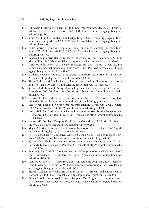- 114. Whitehair T. Brown & Williamson. 1986 Kool Van Program. Macon, GA: Brown & Williamson Tobacco Corporation, 1986 Jul 31. Available at http://legacy.library.ucsf .edu/tid/xlj63f00.
- 115. Smith W. Philip Morris. Benson & Hedges Kings—Urban sampling program. Richmond, VA: Philip Morris USA, 1993 Mar 29. Available at http://legacy.library.ucsf .edu/tid/kyk97d00.
- 116. Philip Morris. Benson & Hedges part-time Inner City Sampling Program. Richmond, VA: Philip Morris USA, 1985 Jun 3. Available at http://legacy.library.ucsf .edu/tid/jkq24e00.
- 117. Reich S. Philip Morris. Benson & Hedges Inner City Program. Richmond, VA: Philip Morris USA, 1987 Feb 4. Available at http://legacy.library.ucsf.edu/tid/rws93e00.
- 118. Smith W. Philip Morris USA. Benson & Hedges Buy 1, Get 1 Free—Urban accounts elements memo. Richmond, VA: Philip Morris USA, 1990 Oct 3. Available at http:// legacy.library.ucsf.edu/tid/hrw57c00.
- 119. Lorillard. Newport Van takes to the streets. Greensboro, NC: Lorillard, 1981 Jun 20. Available at http://legacy.library.ucsf.edu/tid/xtm09c00.
- 120. Rinns JA. Lorillard, Smoke Signals. Newport van sampling. Greensboro, NC: Lorillard, 1981 Jan 6. Available at http://legacy.library.ucsf.edu/tid/wzc31e00.
- 121. Schmitz EM. Lorillard. Newport sampling analysis—van, Florida and summer. Greensboro, NC: Lorillard, 1982 Dec 6. Available at http://legacy.library.ucsf.edu/ tid/xvh74c00.
- 122. Liebow MS. Lorillard. Newport Van Program analysis. Greensboro, NC: Lorillard, 1986 Mar 26. Available at http://legacy.library.ucsf.edu/tid/gky88c00.
- 123. Liebow MS. Lorillard. Newport van program analysis. Greensboro, NC: Lorillard, 1987 Aug 25. Available at http://legacy.library.ucsf.edu/tid/gls54c00.
- 124. Leong WS. Lorillard. Additional sampling opportunities for the Newport van. Greensboro, NC: Lorillard 28 Aug 1987. Available at http://legacy.library.ucsf.edu/ tid/dek44c00.
- 125. Liebow MS. Lorillard. Newport Van Program. Greensboro, NC: Lorillard, 1988 Jan 11. Available at http://legacy.library.ucsf.edu/tid/wgb98c00.
- 126. Magid B. Lorillard. Newport Van Program. Greensboro, NC: Lorillard, 1987 Aug 28. Available at http://legacy.library.ucsf.edu/tid/pti44a00.
- 127. RJ Reynolds. Black YAS Initiative. Winston-Salem, NC: R.J. Reynolds Tobacco Company, 1988 Dec 9. Available at http://legacy.library.ucsf.edu/tid/gzh44d00.
- 128. RJ Reynolds. Black Initiative executional requirements. Winston-Salem, NC: R.J. Reynolds Tobacco Company, 1991 Jan26. Available at http://legacy.library.ucsf.edu/ tid/xgs28c00.
- 129. Benson S. Lorillard. Final report: Newport POW promotion evaluation in tiers I and II. Greensboro, NC: Lorillard,1994 Jul 26. Available at http://legacy.library.ucsf .edu/tid/mdz20e00.
- 130. Lomicka C. Brown & Williamson. Kool Van Sampling Program ("Kool Music on Tour"). Macon, GA: Brown & Williamson Tobacco Corporation, 1984. Available at http://legacy.library.ucsf.edu/tid/mwt13f00.
- 131. Brown & Williamson. Kool Music On Tour. Macon, GA: Brown & Williamson Tobacco Corporation, 1983 Jun 1. Available at http://legacy.library.ucsf.edu/tid/isr63f00.
- 132. Brown & Williamson. Kool Targeted Sampling Van Program. Macon, GA: Brown & Williamson Tobacco Corporation, No Date. Available at http://legacy.library.ucsf .edu/tid/anc60f00.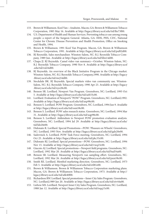- 133. Brown & Williamson. Kool Van—Anaheim. Macon, GA: Brown & Williamson Tobacco Corporation, 1985 May 16. Available at http://legacy.library.ucsf.edu/tid/lks73f00.
- 134. U.S. Department of Health and Human Services. Preventing tobacco use among young people: a report of the Surgeon General. Atlanta, GA: HHS, PHS, CDC, National Center for Chronic Disease Prevention and Health Promotion, Office on Smoking and Health, 1994.
- 135. Brown & Williamson. 1991 Kool Van Program. Macon, GA: Brown & Williamson Tobacco Corporation, 1991. Available at http://legacy.library.ucsf.edu/tid/puf02d00.
- 136. RJ Reynolds. Sales merchandiser. Winston-Salem, NC: R.J. Reynolds Tobacco Company, 1989 Jun. Available at http://legacy.library.ucsf.edu/tid/hbn14d00.
- 137. Chapa JJ. RJ Reynolds. Camel video van summary—October. Winston-Salem, NC: R.J. Reynolds Tobacco Company, 1990 Nov 8. Available at http://legacy.library.ucsf .edu/tid/rul24d00.
- 138. RJ Reynolds. An overview of the Black Imitative Program in the Chicago market. Winston-Salem, NC: R.J. Reynolds Tobacco Company,1990. Available at http://legacy .library.ucsf.edu/tid/mrj54d00.
- 139. Stockdale BK. RJ Reynolds. Special markets video van community use. Winston-Salem, NC: R.J. Reynolds Tobacco Company, 1990 Apr 23. Available at http://legacy .library.ucsf.edu/tid/xyo28c00.
- 140. Benson SR. Lorillard. Newport Van Program. Greensboro, NC: Lorillard, 1993 Oct 5. Available at http://legacy.library.ucsf.edu/tid/azb33c00.
- 141. Lorillard. Evaluation of Newport's "POW" Program. Greensboro, NC: Lorillard,1992. Available at http://legacy.library.ucsf.edu/tid/axp98c00.
- 142. Benson S. Lorillard. POW Program. Greensboro, NC: Lorillard, 1994 Jun 9. Available at http://legacy.library.ucsf.edu/tid/osm58c00.
- 143. Benson S. Lorillard. POW sales research status. Greensboro, NC: Lorillard, 1994 Mar 31. Available at http://legacy.library.ucsf.edu/tid/uqp98c00.
- 144. Benson S. Lorillard. Addendum to Newport POW promotion evaluation analysis. Greensboro, NC: Lorillard, 1994 Jul 29. Available at http://legacy.library.ucsf.edu/ tid/ldz20e00.
- 145. Didonato R. Lorillard. Special Promotions—POW: 'Pleasure on Wheels'. Greensboro, NC: Lorillard, 1993 Nov. Available at http://legacy.library.ucsf.edu/tid/gdz20e00.
- 146. Sadovnick A. Lorillard. POW Task Force meeting. Greensboro, NC: Lorillard, 1994 Oct 25. Available at http://legacy.library.ucsf.edu/tid/pkc33c00.
- 147. Didonato RJ. Lorillard. Special promotions—POW. Greensboro, NC: Lorillard, 1994 Nov 15. Available at http://legacy.library.ucsf.edu/tid/vwq23c00.
- 148. Giacoio AJ. Lorillard. Special promotions—Newport field programs. Greensboro, NC: Lorillard, 1992 Mar 20. Available at http://legacy.library.ucsf.edu/tid/bad54a00.
- 149. Benson SR. Lorillard. Measuring Newport's van sampling effort. Greensboro, NC: Lorillard, 1992 Mar 26. Available at http://legacy.library.ucsf.edu/tid/pxm58c00.
- 150. Smith RE. Lorillard. Menthol marketing direction. Greensboro, NC: Lorillard, 1973 Feb 5. Available at http://legacy.library.ucsf.edu/tid/etl81e00.
- 151. Brown & Williamson. Brown & Williamson Tobacco Corporation marketing plans. Macon, GA: Brown & Williamson Tobacco Corporation, 1973. Available at http:// legacy.library.ucsf.edu/tid/afk40f00.
- 152. Richardson RW. Lorillard. Special promotions—Inner City Sales Program. Greensboro, NC: Lorillard,1989 Jan 20. Available at http://legacy.library.ucsf.edu/tid/eiv44a00.
- 153. Liebow MS. Lorillard. Newport Inner City Sales Program. Greensboro, NC: Lorillard, 1988 Jan 12. Available at http://legacy.library.ucsf.edu/tid/nqq13c00.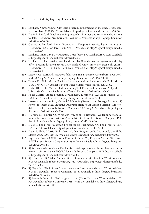- 154. Lorillard. Newport Inner City Sales Program implementation meeting. Greensboro, NC: Lorillard, 1987 Oct 12.Available at http://legacy.library.ucsf.edu/tid/fyk50e00.
- 155. Davis R. Lorillard. Black marketing research—Findings and recommended actions to date. Greensboro, NC: Lorillard, 1978 Jun 9. Available at http://legacy.library.ucsf .edu/tid/anz30e00.
- 156. Giacoio A. Lorillard. Special Promotions—Newport inner city lighter promotion. Greensboro, NC: Lorillard, 1988 Nov 1. Available at http://legacy.library.ucsf.edu/ tid/xov44a00.
- 157. Lorillard. Inner City Sales Program. Greensboro, NC: Lorillard,1990 Aug. Available at http://legacy.library.ucsf.edu/tid/mvu44a00.
- 158. Lorillard. Lorillard retailer merchandising plan II guidelines package counter display offer—Security locations (Plexi-Glass Shielded Only) inner city areas only (ICSP). Greensboro, NC: Lorillard, 1992 Dec. Available at http://legacy.library.ucsf.edu/ tid/axv44a00.
- 159. Liebow MS. Lorillard. Newport field visit: San Francisco. Greensboro, NC: Lorillard,1987 Sep22. Available at http://legacy.library.ucsf.edu/tid/xic98c00.
- 160. Troupe JM. Philip Morris. Black marketing symposium. Richmond, VA: Philip Morris USA, 1984 Oct 17. Available at http://legacy.library.ucsf.edu/tid/gyu92e00.
- 161. Foster HH. Philip Morris. Black Marketing Task Force. Richmond, VA: Philip Morris USA, 1984 Oct 1. Available at http://legacy.library.ucsf.edu/tid/wqp06e00.
- 162. Philip Morris. Ethnic program development. Richmond, VA: Philip Morris USA, 1984 Jun. Available at http://legacy.library.ucsf.edu/tid/xzu03e00.
- 163. Leferman Associates Inc., Nassar SC, Marketing Research and Strategic Planning. RJ Reynolds. Salem Black Initiative Program: brand team ideation session. Winston-Salem, NC: R.J. Reynolds Tobacco Company, 1989 Aug 3. Available at http://legacy .library.ucsf.edu/tid/wug34d00.
- 164. Hawkins SC, Hunter CS, Whitlatch WP, et al. RJ Reynolds. Addendum proposal: inner city Black tracker. Winston-Salem, NC: R.J. Reynolds Tobacco Company, 1989 Aug 2. Available at http://legacy.library.ucsf.edu/tid/gql93a00.
- 165. Daley T. Philip Morris. Urban Project report. Richmond, VA: Philip Morris USA, 1991 Jun 14. Available at http://legacy.library.ucsf.edu/tid/lbb93e00.
- 166. Daley T. Philip Morris. Philip Morris Urban Program audit. Richmond, VA: Philip Morris USA, 1991 Sep 13. Available at http://legacy.library.ucsf.edu/tid/alf76e00.
- 167. Lagreca K. Brown & Williamson. Kool family Inner City Program. Macon, GA: Brown & Williamson Tobacco Corporation, 1981 May. Available at http://legacy.library.ucsf .edu/tid/jxc91d00.
- 168. RJ Reynolds. Winston/Salem Cadillac Sweepstakes promotion Chicago Black consumer market. Winston-Salem, NC: R.J. Reynolds Tobacco Company, 1973 Oct 8. Available at http://legacy.library.ucsf.edu/tid/tbk79d00.
- 169. RJ Reynolds. 1982 Salem Summer Street Scenes strategic direction. Winston-Salem, NC: R.J. Reynolds Tobacco Company, 1982. Available at http://legacy.library.ucsf.edu/ tid/glr13a00.
- 170. RJ Reynolds. Black Street Scenes: review and recommendations. Winston-Salem, NC: R.J. Reynolds Tobacco Company, 1983. Available at http://legacy.library.ucsf .edu/tid/onb19d00.
- 171. RJ Reynolds. Inner city Black targeted brand. (Blank file cover). Winston-Salem, NC: R.J. Reynolds Tobacco Company, 1989 (estimate). Available at http://legacy.library .ucsf.edu/tid/mbv61d00.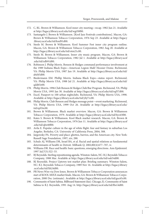- 172. C, RL. Brown & Williamson. Kool inner city meeting—recap. 1982 Jun 21. Available at http://legacy.library.ucsf.edu/tid/wgt50f00.
- 173. Santangelo J. Brown & Williamson. [Kool Jazz Festivals contributions]. Macon, GA: Brown & Williamson Tobacco Corporation, 1976 Sep 23. Available at http://legacy .library.ucsf.edu/tid/knd91d00.
- 174. Steele M. Brown & Williamson. Kool Summer Fest inner city program outline. Macon, GA: Brown & Williamson Tobacco Corporation, 1982 Aug 20. Available at http://legacy.library.ucsf.edu/tid/otm21c00.
- 175. Steele M. Brown & Williamson. Inner city music program. Macon, GA: Brown & Williamson Tobacco Corporation, 1982 Jul 1. Available at http://legacy.library.ucsf .edu/tid/zdb91d00.
- 176. Robinson J. Philip Morris. Benson & Hedges command performance involvement at the 1989 Indiana Black Expo—American Legion Mall/ Hoosier Dome. Richmond, VA: Philip Morris USA, 1987 Jun 19. Available at http://legacy.library.ucsf.edu/tid/ abd45d00.
- 177. Biedermann EM. Phillip Morris. Indiana Black Expo—status report. Richmond, VA: Philip Morris USA, 1988 Jul 21. Available at http://legacy.library.ucsf.edu/tid/ qdd65e00.
- 178. Philip Morris. 1996 Club Benson & Hedges Club/Bar Program. Richmond, VA: Philip Morris USA, 1995 Jan 30. Available at http://legacy.library.ucsf.edu/tid/sqf57d00.
- 179. Excel. Passport to 100 urban nightclubs. Richmond, VA: Philip Morris USA, 1998. Available at http://legacy.library.ucsf.edu/tid/ybj71c00.
- 180. Philip Morris. Club Benson and Hedges message point—event marketing. Richmond, VA: Philip Morris USA, 1999 Oct 26. Available at http://legacy.library.ucsf.edu/ tid/epf16c00.
- 181. Brown & Williamson. Black market overview. Macon, GA: Brown & Williamson Tobacco Corporation, 1979. Available at http://legacy.library.ucsf.edu/tid/byz43f00.
- 182. Kates S. Brown & Williamson. Kool Black market research. Macon, GA: Brown & Williamson Tobacco Corporation, 1976 Jun 11. Available at http://legacy.library.ucsf .edu/tid/qbz40f00.
- 183. Avila E. Popular culture in the age of white flight: fear and fantasy in suburban Los Angeles. Berkeley, CA: University of California Press, 2004; 308.
- 184. Jargowsky PA. Poverty and place: ghettos, barrios, and the American city. New York: Russell Sage Foundation, 1997; xiv, 288.
- 185. Schulz AJ, Williams DR, Israel BA, et al. Racial and spatial relations as fundamental determinants of health in Detroit. Milbank Q. 2002;80(4):677–707, iv.
- 186. Williams DR. Race and health: basic questions, emerging directions. Ann Epidemiol. 1997 Jul;7(5):322–33.
- 187. RJ Reynolds. Sterling repositioning agenda. Winston-Salem, NC: R.J. Reynolds Tobacco Company, 1988 Mar. Available at http://legacy.library.ucsf.edu/tid/oak54d00.
- 188. RJ Reynolds. Project Uptown test market plan: Briefing summary. Winston-Salem, NC: R.J. Reynolds Tobacco Company, 1989 Nov 16. Available at http://legacy.library .ucsf.edu/tid/lih24d00.
- 189. PR News Wire via Dow Jones. Brown & Williamson Tobacco Corporation announces start of KOOL MIXX market finals. Macon, GA: Brown & Williamson Tobacco Corporation, 2000 Dec (estimate). Available at http://legacy.library.ucsf.edu/tid/guc65c00.
- 190. Community of Saint Sabina. Billboard Statement (fax). Chicago, IL: Community of Saint Sabina to R.J. Reynolds, 1991 Aug 14. http://legacy.library.ucsf.edu/tid/fbs14d00.